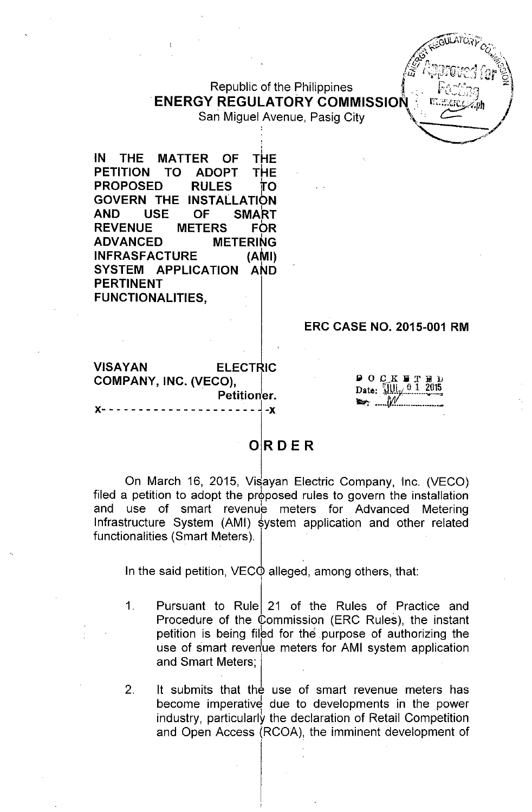# Republic of the Philippines ENERGY REGULATORY COMMISSION & C.:::::::::://<sub>ph</sub> *J*<br>San Miguel Avenue, Pasig City

։<br>Լ

 $\sim$ GULATO $n_{\chi}$ . **, weddy work of the company of the company of the company of the company of the company of the company of the company of the company of the company of the company of the company of the company of the company of the compan**  $\sqrt{\frac{1}{2}}$ .  $\sqrt{\frac{1}{2}}$ */~iP,~r~~i~(;')* 7. (!0"':' *t*rL::f')~ fLL.i ~,"'L1.-':I ~'''i\-,J *LJJ* c--',

IN THE PETITION MATTER OF THE<br>TO ADOPT THE TO ADOPT THE<br>RULES TO **PROPOSED** GOVERN THE INSTAllATION AND USE OF SMART REVENUE METERS FOR<br>ADVANCED METERING **ADVANCED** INFRASFACTURE (AMI) SYSTEM APPLICATION AND PERTINENT FUNCTIONALITIES,

## ERC CASE NO. 2015-001 RM

VISAYAN ELECTRIC COMPANY, INC. (VECO), Petitioner. x- - - - - - - - - - - - - - - - - - -- - J -x

Date: Elli

## **ORDER**

On March 16, 2015, Visayan Electric Company, Inc. (VECO) filed a petition to adopt the proposed rules to govern the installation and use of smart revenue meters for Advanced Metering Infrastructure System (AMI) system application and other related functionalities (Smart Meters).

In the said petition,  $VEC\ddot{\theta}$  alleged, among others, that: I

1. Pursuant to Rule 21 of the Rules of Practice and Procedure of the Commission (ERC Rules), the instant petition is being filed for the purpose of authorizing the use of smart revenue meters for AMI system application and Smart Meters;

2. It submits that the use of smart revenue meters has become imperative due to developments in the power industry, particularly the declaration of Retail Competition and Open Access (RCOA), the imminent development of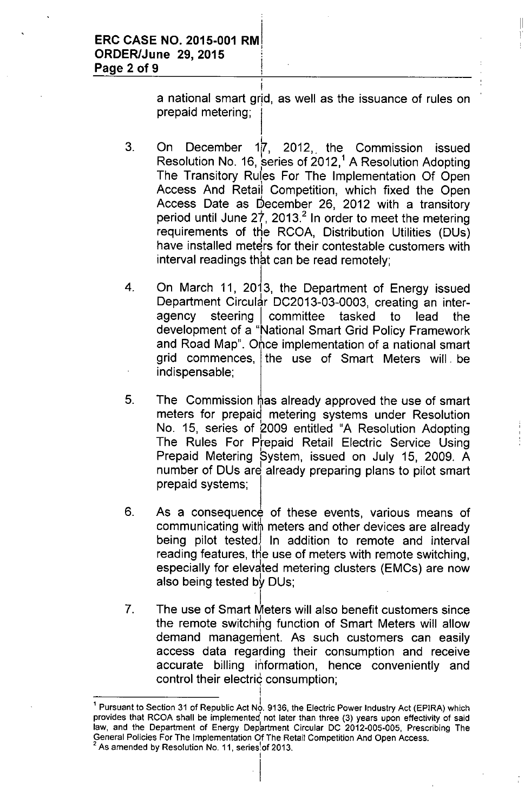a national smart grid, as well as the issuance of rules on prepaid metering; I

II

 $\frac{1}{\sqrt{2}}$  $\overline{1}$ 

- 3. On December 1<sup>1</sup>, 2012, the Commission issued Resolution No. 16, series of  $2012<sup>1</sup>$  A Resolution Adopting The Transitory Rules For The Implementation Of Open Access And Retail Competition, which fixed the Oper Access Date as December 26, 2012 with a transitory period until June  $27$ , 2013.<sup>2</sup> In order to meet the metering requirements of the RCOA, Distribution Utilities (DUs) have installed meters for their contestable customers with  $interval$  readings that can be read remotely;
- 4. On March 11, 2013, the Department of Energy issued Department Circular DC2013-03-0003, creating an interagency steering committee tasked to lead the development of a "National Smart Grid Policy Framework and Road Map". Once implementation of a national smart grid commences, the use of Smart Meters will. be indispensable;
- 5. The Commission has already approved the use of smart meters for prepaid metering systems under Resolution No. 15, series of 2009 entitled "A Resolution Adopting The Rules For Prepaid Retail Electric Service Using I Prepaid Metering System, issued on July 15, 2009. A number of DUs are already preparing plans to pilot smart prepaid systems;
- 6. As a consequence of these events, various means of communicating with meters and other devices are already being pilot tested. In addition to remote and interval reading features, the use of meters with remote switching, especially for elevated metering clusters (EMCs) are now also being tested by DUs;
- 7. The use of Smart Meters will also benefit customers since the remote switching function of Smart Meters will allow demand management. As such customers can easily access data regarding their consumption and receive accurate billing information, hence conveniently and control their electric consumption;

I

 $\mathbf{I}$ 

<sup>&</sup>lt;sup>1</sup> Pursuant to Section 31 of Republic Act No. 9136, the Electric Power Industry Act (EPIRA) which provides that RCOA shall be implemented not later than three (3) years upon effectivity of said law, and the Department of Energy Department Circular DC 2012-005-005, Prescribing The General Policies For The Implementation Of The Retail Competition And Open Access.

As amended by Resolution No. 11, series of 2013.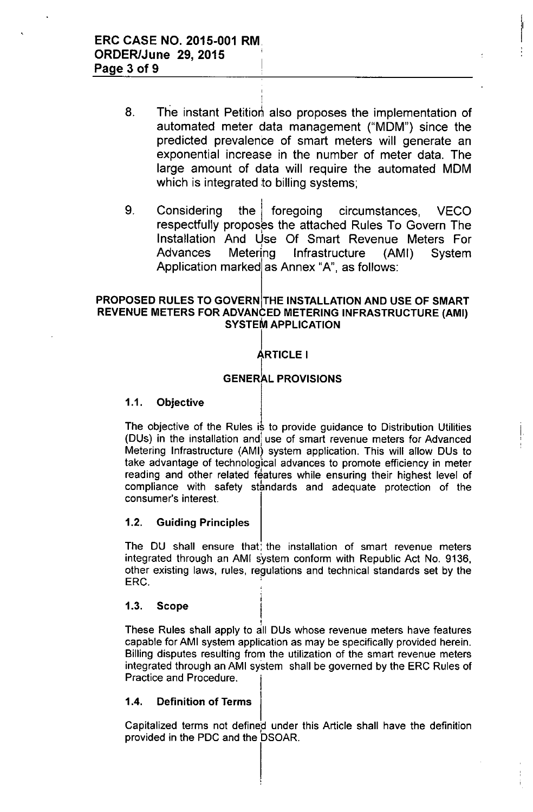8. The instant Petition also proposes the implementation of automated meter data management ("MOM") since the predicted prevalence of smart meters will generate an exponential increase in the number of meter data. The large amount of data will require the automated MOM which is integrated to billing systems;

I !

9. Considering the foregoing circumstances, VECO respectfully proposes the attached Rules To Govern The Installation And Use Of Smart Revenue Meters For<br>Advances Metering Infrastructure (AMI) System Infrastructure (AMI) System Application marked as Annex "A", as follows:

### PROPOSED RULES TO GOVERN THE INSTALLATION AND USE OF SMART REVENUE METERS FOR ADVANCED METERING INFRASTRUCTURE (AMI) SYSTEM APPLICATION

### Į. ARTICLE I

### **GENERAL PROVISIONS**

### 1.1. Objective

The objective of the Rules is to provide guidance to Distribution Utilities (DUs) in the installation and) use of smart revenue meters for Advanced Metering Infrastructure (AMI) system application. This will allow DUs to take advantage of technological advances to promote efficiency in meter reading and other related features while ensuring their highest level of compliance with safety standards and adequate protection of the consumer's interest.

I , ,

### 1.2. Guiding Principles

The DU shall ensure that, the installation of smart revenue meters integrated through an AMI system conform with Republic Act No. 9136, other existing laws, rules, regulations and technical standards set by the ERC.

> i I

#### Scope 1.3.

These Rules shall apply to all DUs whose revenue meters have features capable for AMI system application as may be specifically provided herein. Billing disputes resulting from the utilization of the smart revenue meters integrated through an AMI system shall be governed by the ERC Rules of Practice and Procedure.

### 1.4. Definition of Terms

Capitalized terms not defined, under this Article shall have the definition provided in the PDC and the DSOAR.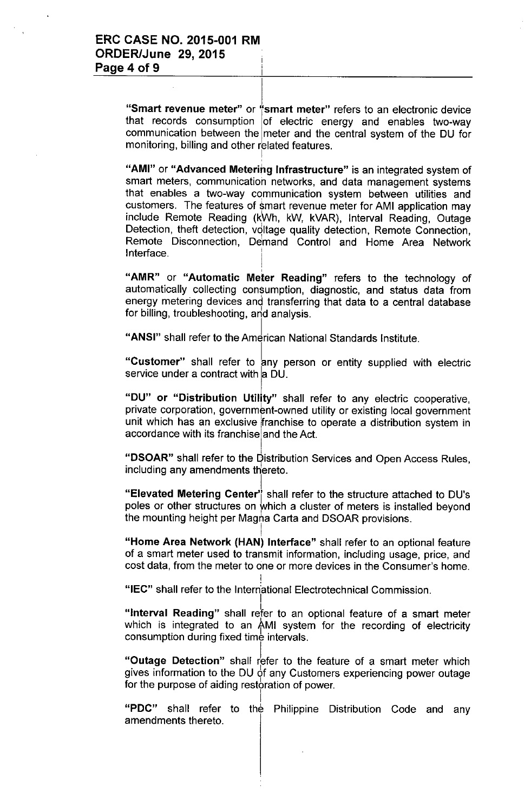I "Smart revenue meter" or "smart meter" refers to an electronic device that records consumption of electric energy and enables two-way communication between the meter and the central system of the DU for monitoring, billing and other related features.

"AMI" or "Advanced Metering Infrastructure" is an integrated system of smart meters, communication networks, and data management systems that enables a two-way communication system between utilities and customers. The features of smart revenue meter for AMI application may include Remote Reading (kWh, kW, kVAR), Interval Reading, Outage Detection, theft detection, voltage quality detection, Remote Connection, Remote Disconnection, Demand Control and Home Area Network Interface.

"AMR" or "Automatic Meter Reading" refers to the technology of automatically collecting consumption, diagnostic, and status data from energy metering devices and transferring that data to a central database for billing, troubleshooting, arid analysis.

"ANSI" shall refer to the American National Standards Institute.

"Customer" shall refer to any person or entity supplied with electric service under a contract with a DU.

"DU" or "Distribution Utility" shall refer to any electric cooperative, private corporation, government-owned utility or existing local government unit which has an exclusive franchise to operate a distribution system in accordance with its franchise and the Act.

"DSOAR" shall refer to the Distribution Services and Open Access Rules, including any amendments thereto.

I "Elevated Metering Center'j shall refer to the structure attached to DU's poles or other structures on which a cluster of meters is installed beyond the mounting height per Magna Carta and DSOAR provisions.

I "Home Area Network (HAN) Interface" shall refer to an optional feature of a smart meter used to transmit information, including usage, price, and cost data, from the meter to one or more devices in the Consumer's home.

"IEC" shall refer to the International Electrotechnical Commission.

I

I

I

"**Interval Reading**" shall refer to an optional feature of a smart meter which is integrated to an AMI system for the recording of electricity consumption during fixed time intervals.

"Outage Detection" shall refer to the feature of a smart meter which gives information to the DU of any Customers experiencing power outage for the purpose of aiding restoration of power.

"PDC" shall refer to the Philippine Distribution Code and any amendments thereto.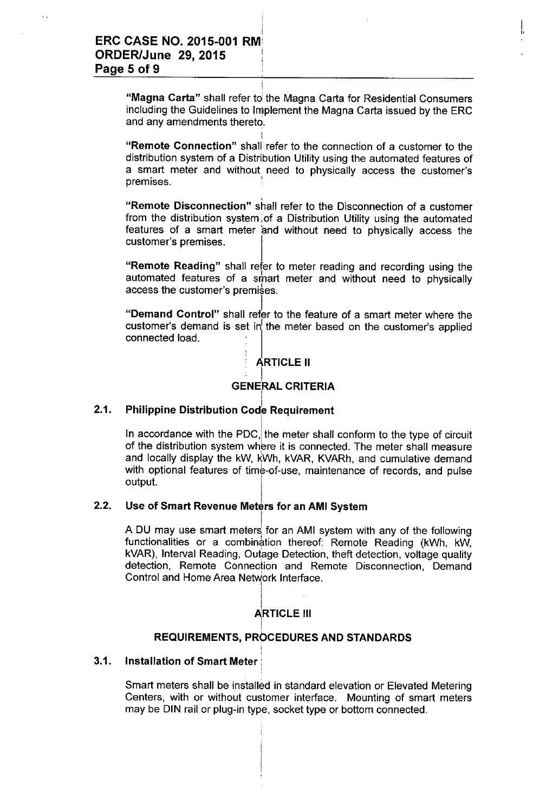"Magna Carta" shall refer to the Magna Carta for Residential Consumers including the Guidelines to Implement the Magna Carta issued by the ERC and any amendments thereto.

I I,

"Remote Connection" shall refer to the connection of a customer to the distribution system of a Distribution Utility using the automated features of a smart meter and without<sub>,</sub> need to physically access the customer's<br>" premises.

"Remote Disconnection" shall refer to the Disconnection of a customer from the distribution system of a Distribution Utility using the automated features of a smart meter and without need to physically access the customer's premises.

"Remote Reading" shall refer to meter reading and recording using the automated features of a smart meter and without need to physically access the customer's premises.

I "Demand Control" shall refer to the feature of a smart meter where the  $\frac{1}{2}$  customer's demand is set in the meter based on the customer's applied connected load.

## ARTICLE II

## GENERAL CRITERIA

### 2.1. **Philippine Distribution Code Requirement**

In accordance with the PDC, the meter shall conform to the type of circuit of the distribution system where it is connected. The meter shall measure and locally display the kW, kWh, kVAR, KVARh, and cumulative demand with optional features of time-of-use, maintenance of records, and pulse output.

### 2.2. Use of Smart Revenue Meters for an AMI System

A DU may use smart meters for an AMI system with any of the following functionalities or a combination thereof: Remote Reading (kWh, kW, kVAR), Interval Reading, Outage Detection, theft detection, voltage quality detection, Remote Connection and Remote Disconnection, Demand Control and Home Area Network Interface.

### **ARTICLE III**

1

### I REQUIREMENTS, PROCEDURES AND STANDARDS

### i 3.1. Installation of Smart Meter: ,

Smart meters shall be installed in standard elevation or Elevated Metering Centers, with or without customer interface. Mounting of smart meters may be DIN rail or plug-in type, socket type or bottom connected.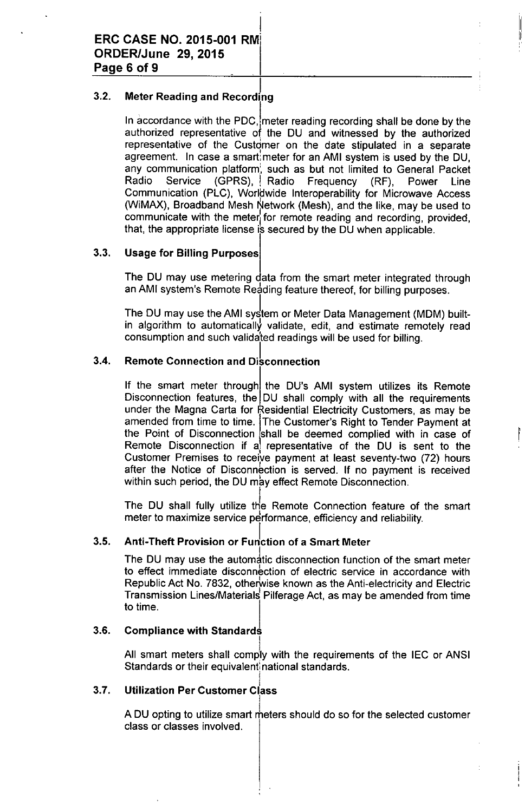### 3.2. ا<br>Meter Reading and Recording

In accordance with the PDC, meter reading recording shall be done by the authorized representative of the DU and witnessed by the authorized representative of the Customer on the date stipulated in a separate agreement. In case a smart meter for an AMI system is used by the DU. any communication platform', such as but not limited to General Packet Radio Service (GPRS), Radio Frequency (RF), Power Line Communication (PLC), Worldwide Interoperability for Microwave Access (WiMAX), Broadband Mesh Network (Mesh), and the like, may be used to communicate with the meter for remote reading and recording, provided, that, the appropriate license is secured by the DU when applicable.

III ‼

### 3.3. Usage for Billing Purposes

The DU may use metering data from the smart meter integrated through an AMI system's Remote Reading feature thereof, for billing purposes.

The DU may use the AMI system or Meter Data Management (MDM) builtin algorithm to automatically validate, edit, and estimate remotely read consumption and such validated readings will be used for billing.

### 3.4. **Remote Connection and Disconnection**

If the smart meter through the DU's AMI system utilizes its Remote Disconnection features, the DU shall comply with all the requirements under the Magna Carta for Residential Electricity Customers, as may be amended from time to time. The Customer's Right to Tender Payment at the Point of Disconnection shall be deemed complied with in case of Remote Disconnection if a representative of the DU is sent to the Customer Premises to receive payment at least seventy-two (72) hours after the Notice of Disconnection is served. If no payment is received within such period, the DU may effect Remote Disconnection.

The DU shall fully utilize the Remote Connection feature of the smart meter to maximize service performance, efficiency and reliability.

#### 3.5. Anti-Theft Provision or Function of a Smart Meter

The DU may use the automatic disconnection function of the smart meter to effect immediate disconnection of electric service in accordance with Republic Act No. 7832, otherwise known as the Anti-electricity and Electric Transmission Lines/Materials Pilferage Act, as may be amended from time to time.

#### 3.6. Compliance with Standards

All smart meters shall comply with the requirements of the IEC or ANSI Standards or their equivalent national standards.

### 3.7. ا<br>Utilization Per Customer Class

A DU opting to utilize smart meters should do so for the selected customer class or classes involved.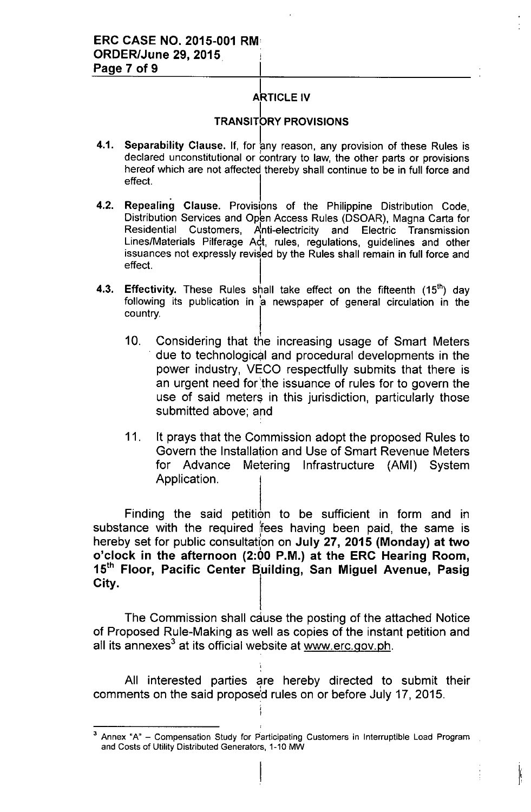## **ARTICLE IV**

## **TRANSITORY PROVISIONS**

- 4.1. Separability Clause. If, for any reason, any provision of these Rules is I declared unconstitutional or contrary to law, the other parts or provisions hereof which are not affected thereby shall continue to be in full force and effect.  $\begin{bmatrix} 1 & 1 & 1 \\ 1 & 1 & 1 \\ 1 & 1 & 1 \end{bmatrix}$
- 4.2. Repealing Clause. Provisions of the Philippine Distribution Code, Distribution Services and Open Access Rules (DSOAR), Magna Carta for Residential Customers, Anti-electricity and Electric Transmission Lines/Materials Pilferage Adt, rules, regulations, guidelines and other issuances not expressly revised by the Rules shall remain in full force and effect.
- 4.3. Effectivity. These Rules shall take effect on the fifteenth  $(15<sup>th</sup>)$  day following its publication in a newspaper of general circulation in the country.
	- 10. Considering that the increasing usage of Smart Meters . due to technological and procedural developments in the power industry, VECO respectfully submits that there is an urgent need for'the issuance of rules for to govern the use of said meters in this jurisdiction, particularly those submitted above; and
	- 11. It prays that the Commission adopt the proposed Rules to Govern the Installation and Use of Smart Revenue Meters for Advance Metering Infrastructure (AMI) System Application.

Finding the said petition to be sufficient in form and in substance with the required fees having been paid, the same is Parachine with the regalied flood namily been paid, the edition o'clock in the afternoon (2:00 P.M.) at the ERC Hearing Room, 15<sup>th</sup> Floor, Pacific Center Building, San Miguel Avenue, Pasig City.

The Commission shall cause the posting of the attached Notice of Proposed Rule-Making as well as copies of the instant petition and all its annexes<sup>3</sup> at its official website at <u>www.erc.gov.ph</u>

All interested parties are hereby directed to submit their comments on the said proposed rules on or before July 17, 2015.

 $\frac{1}{2}$ 

<sup>&</sup>lt;sup>3</sup> Annex "A" - Compensation Study for Participating Customers in Interruptible Load Program and Costs of Utility Distributed Generators, 1-10 MW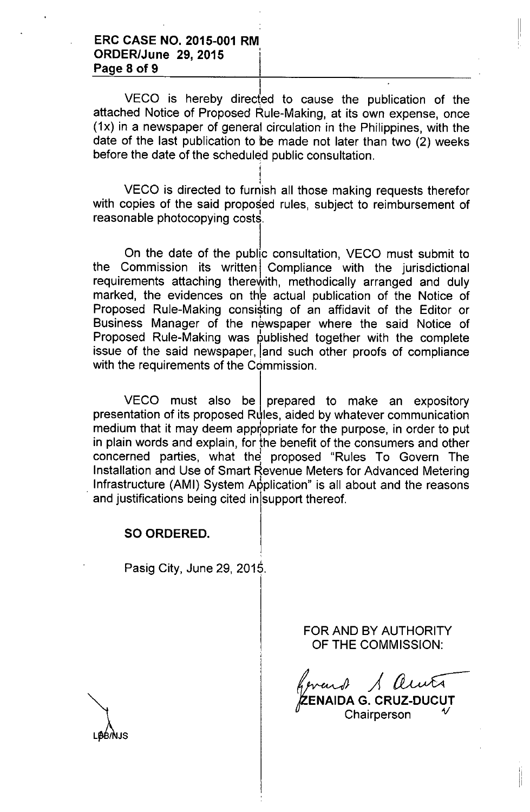### **ERC CASE NO. 2015-001 RM**, **ORDER/June 29, 2015 Page 8 of 9**

VECO is hereby directed to cause the publication of the attached Notice of Proposed Rule-Making, at its own expense, once (1x) in a newspaper of general circulation in the Philippines, with the date of the last publication to be made not later than two (2) weeks before the date of the scheduled public consultation.

 $\mathbf{E}$ 

I VECO is directed to furnish all those making requests therefo with copies of the said proposed rules, subject to reimbursement of reasonable photocopying costs.

I

On the date of the public consultation, VECO must submit to the Commission its written Compliance with the jurisdictional requirements attaching therewith, methodically arranged and duly marked, the evidences on the actual publication of the Notice of Proposed Rule-Making consisting of an affidavit of the Editor or Business Manager of the newspaper where the said Notice of Proposed Rule-Making was published together with the complete issue of the said newspaper, land such other proofs of compliance with the requirements of the Commission.

 $VECO$  must also be prepared to make an expository presentation of its proposed Rules, aided by whatever communication medium that it may deem appropriate for the purpose, in order to put in plain words and explain, for the benefit of the consumers and other concerned parties, what the proposed "Rules To Govern The Installation and Use of Smart Revenue Meters for Advanced Metering Infrastructure (AMI) System Application" is all about and the reasons and justifications being cited in support thereof.

### **SO ORDERED.**

Pasig City, June 29, 2015

FOR AND BY AUTHORITY OF THE COMMISSION:

*vard 1 autr* 'jZENAID~ G. **CRUZ-DUCUT** Chairperson *V*